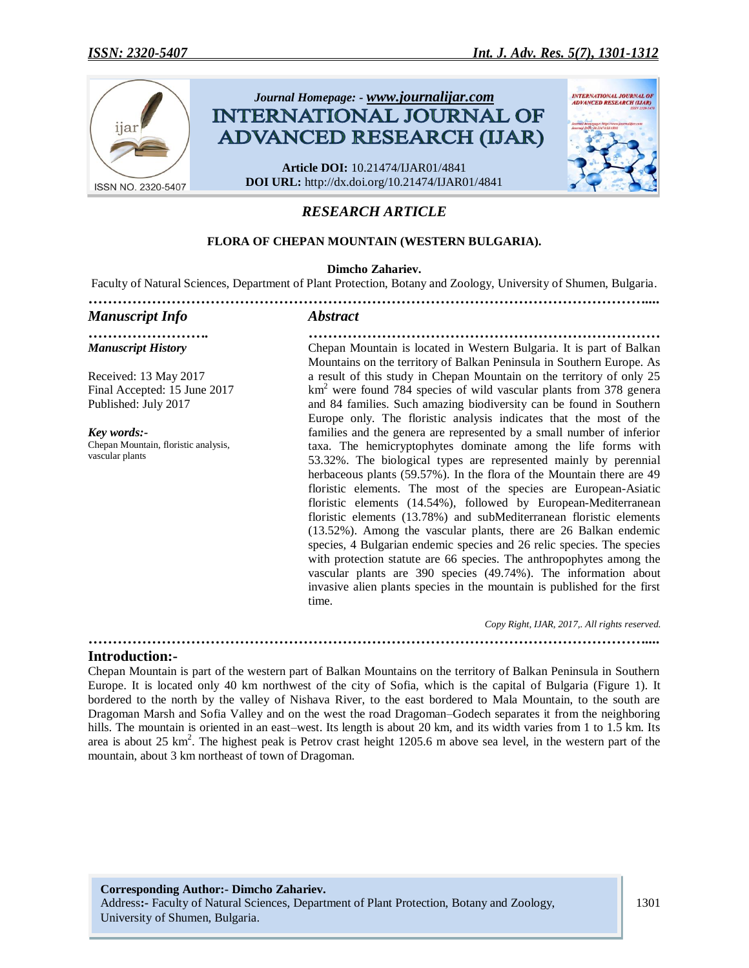

# *RESEARCH ARTICLE*

## **FLORA OF CHEPAN MOUNTAIN (WESTERN BULGARIA).**

#### **Dimcho Zahariev.**

Faculty of Natural Sciences, Department of Plant Protection, Botany and Zoology, University of Shumen, Bulgaria.

#### *…………………………………………………………………………………………………….... Manuscript Info Abstract ……………………. ……………………………………………………………… Manuscript History* Received: 13 May 2017 Final Accepted: 15 June 2017 Published: July 2017 *Key words:-* Chepan Mountain, floristic analysis, vascular plants Chepan Mountain is located in Western Bulgaria. It is part of Balkan Mountains on the territory of Balkan Peninsula in Southern Europe. As a result of this study in Chepan Mountain on the territory of only 25 km<sup>2</sup> were found 784 species of wild vascular plants from 378 genera and 84 families. Such amazing biodiversity can be found in Southern Europe only. The floristic analysis indicates that the most of the families and the genera are represented by a small number of inferior taxa. The hemicryptophytes dominate among the life forms with 53.32%. The biological types are represented mainly by perennial herbaceous plants (59.57%). In the flora of the Mountain there are 49 floristic elements. The most of the species are European-Asiatic floristic elements (14.54%), followed by European-Mediterranean floristic elements (13.78%) and subMediterranean floristic elements (13.52%). Among the vascular plants, there are 26 Balkan endemic species, 4 Bulgarian endemic species and 26 relic species. The species with protection statute are 66 species. The anthropophytes among the vascular plants are 390 species (49.74%). The information about invasive alien plants species in the mountain is published for the first time. *Copy Right, IJAR, 2017,. All rights reserved.*

## **Introduction:-**

Chepan Mountain is part of the western part of Balkan Mountains on the territory of Balkan Peninsula in Southern Europe. It is located only 40 km northwest of the city of Sofia, which is the capital of Bulgaria (Figure 1). It bordered to the north by the valley of Nishava River, to the east bordered to Mala Mountain, to the south are Dragoman Marsh and Sofia Valley and on the west the road Dragoman–Godech separates it from the neighboring hills. The mountain is oriented in an east–west. Its length is about 20 km, and its width varies from 1 to 1.5 km. Its area is about 25 km<sup>2</sup>. The highest peak is Petrov crast height 1205.6 m above sea level, in the western part of the mountain, about 3 km northeast of town of Dragoman.

*……………………………………………………………………………………………………....*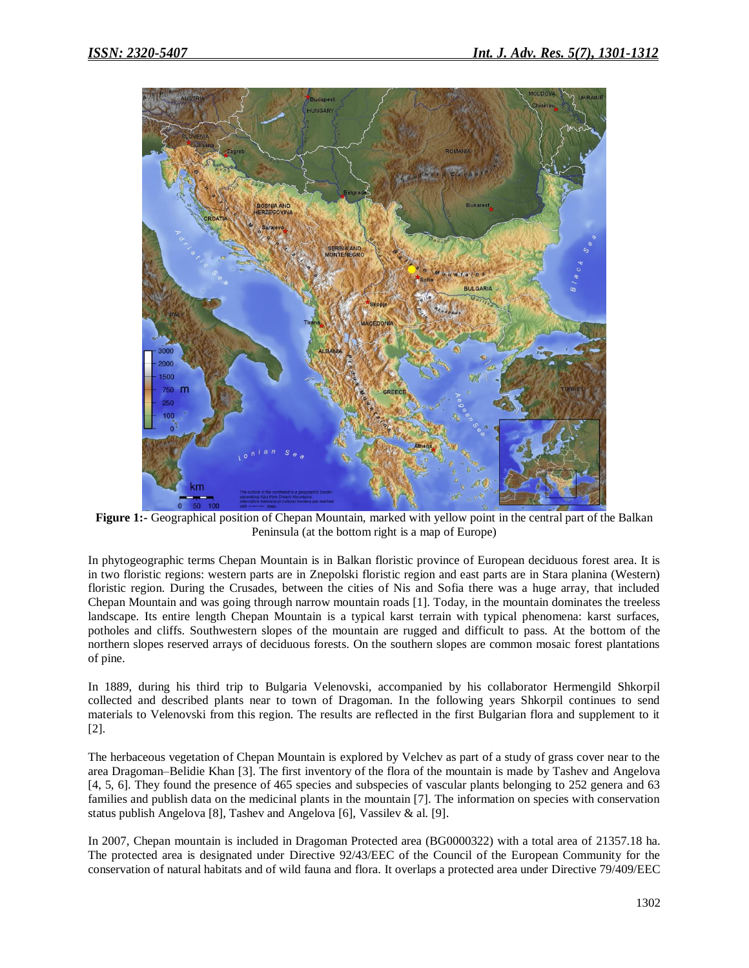

**Figure 1:-** Geographical position of Chepan Mountain, marked with yellow point in the central part of the Balkan Peninsula (at the bottom right is a map of Europe)

In phytogeographic terms Chepan Mountain is in Balkan floristic province of European deciduous forest area. It is in two floristic regions: western parts are in Znepolski floristic region and east parts are in Stara planina (Western) floristic region. During the Crusades, between the cities of Nis and Sofia there was a huge array, that included Chepan Mountain and was going through narrow mountain roads [1]. Today, in the mountain dominates the treeless landscape. Its entire length Chepan Mountain is a typical karst terrain with typical phenomena: karst surfaces, potholes and cliffs. Southwestern slopes of the mountain are rugged and difficult to pass. At the bottom of the northern slopes reserved arrays of deciduous forests. On the southern slopes are common mosaic forest plantations of pine.

In 1889, during his third trip to Bulgaria Velenovski, accompanied by his collaborator Hermengild Shkorpil collected and described plants near to town of Dragoman. In the following years Shkorpil continues to send materials to Velenovski from this region. The results are reflected in the first Bulgarian flora and supplement to it [2].

The herbaceous vegetation of Chepan Mountain is explored by Velchev as part of a study of grass cover near to the area Dragoman–Belidie Khan [3]. The first inventory of the flora of the mountain is made by Tashev and Angelova [4, 5, 6]. They found the presence of 465 species and subspecies of vascular plants belonging to 252 genera and 63 families and publish data on the medicinal plants in the mountain [7]. The information on species with conservation status publish Angelova [8], Tashev and Angelova [6], Vassilev & al. [9].

In 2007, Chepan mountain is included in Dragoman Protected area (BG0000322) with a total area of 21357.18 ha. The protected area is designated under Directive 92/43/EEC of the Council of the European Community for the conservation of natural habitats and of wild fauna and flora. It overlaps a protected area under Directive 79/409/EEC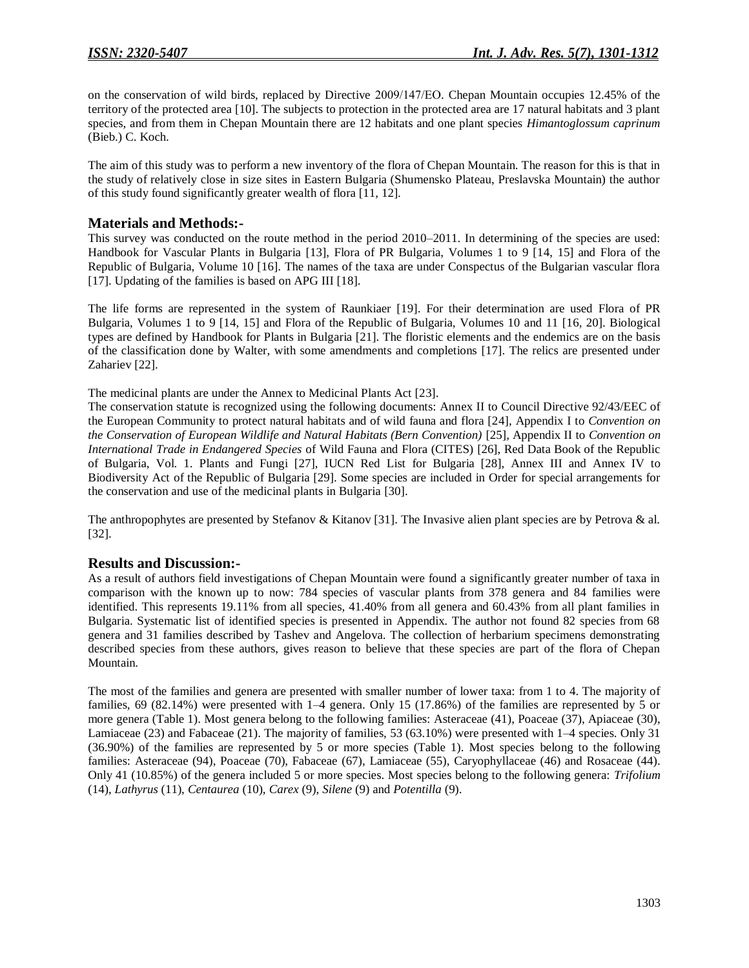on the conservation of wild birds, replaced by Directive 2009/147/ЕО. Chepan Mountain occupies 12.45% of the territory of the protected area [10]. The subjects to protection in the protected area are 17 natural habitats and 3 plant species, and from them in Chepan Mountain there are 12 habitats and one plant species *Himantoglossum caprinum* (Bieb.) C. Koch.

The aim of this study was to perform a new inventory of the flora of Chepan Mountain. The reason for this is that in the study of relatively close in size sites in Eastern Bulgaria (Shumensko Plateau, Preslavska Mountain) the author of this study found significantly greater wealth of flora [11, 12].

## **Materials and Methods:-**

This survey was conducted on the route method in the period 2010–2011. In determining of the species are used: Handbook for Vascular Plants in Bulgaria [13], Flora of PR Bulgaria, Volumes 1 to 9 [14, 15] and Flora of the Republic of Bulgaria, Volume 10 [16]. The names of the taxa are under Conspectus of the Bulgarian vascular flora [17]. Updating of the families is based on APG III [18].

The life forms are represented in the system of Raunkiaer [19]. For their determination are used Flora of PR Bulgaria, Volumes 1 to 9 [14, 15] and Flora of the Republic of Bulgaria, Volumes 10 and 11 [16, 20]. Biological types are defined by Handbook for Plants in Bulgaria [21]. The floristic elements and the endemics are on the basis of the classification done by Walter, with some amendments and completions [17]. The relics are presented under Zahariev [22].

The medicinal plants are under the Annex to Medicinal Plants Act [23].

The conservation statute is recognized using the following documents: Annex II to Council Directive 92/43/EEC of the European Community to protect natural habitats and of wild fauna and flora [24], Appendix I to *Convention on the Conservation of European Wildlife and Natural Habitats (Bern Convention)* [25], Appendix II to *Convention on International Trade in Endangered Species* of Wild Fauna and Flora (CITES) [26], Red Data Book of the Republic of Bulgaria, Vol. 1. Plants and Fungi [27], IUCN Red List for Bulgaria [28], Annex III and Annex IV to Biodiversity Act of the Republic of Bulgaria [29]. Some species are included in Order for special arrangements for the conservation and use of the medicinal plants in Bulgaria [30].

The anthropophytes are presented by Stefanov & Kitanov [31]. The Invasive alien plant species are by Petrova  $\&$  al. [32].

## **Results and Discussion:-**

As a result of authors field investigations of Chepan Mountain were found a significantly greater number of taxa in comparison with the known up to now: 784 species of vascular plants from 378 genera and 84 families were identified. This represents 19.11% from all species, 41.40% from all genera and 60.43% from all plant families in Bulgaria. Systematic list of identified species is presented in Appendix. The author not found 82 species from 68 genera and 31 families described by Tashev and Angelova. The collection of herbarium specimens demonstrating described species from these authors, gives reason to believe that these species are part of the flora of Chepan Mountain.

The most of the families and genera are presented with smaller number of lower taxa: from 1 to 4. The majority of families, 69 (82.14%) were presented with 1–4 genera. Only 15 (17.86%) of the families are represented by 5 or more genera (Table 1). Most genera belong to the following families: Asteraceae (41), Poaceae (37), Apiaceae (30), Lamiaceae (23) and Fabaceae (21). The majority of families, 53 (63.10%) were presented with 1–4 species. Only 31 (36.90%) of the families are represented by 5 or more species (Table 1). Most species belong to the following families: Asteraceae (94), Poaceae (70), Fabaceae (67), Lamiaceae (55), Caryophyllaceae (46) and Rosaceae (44). Only 41 (10.85%) of the genera included 5 or more species. Most species belong to the following genera: *Trifolium* (14), *Lathyrus* (11), *Centaurea* (10), *Carex* (9), *Silene* (9) and *Potentilla* (9).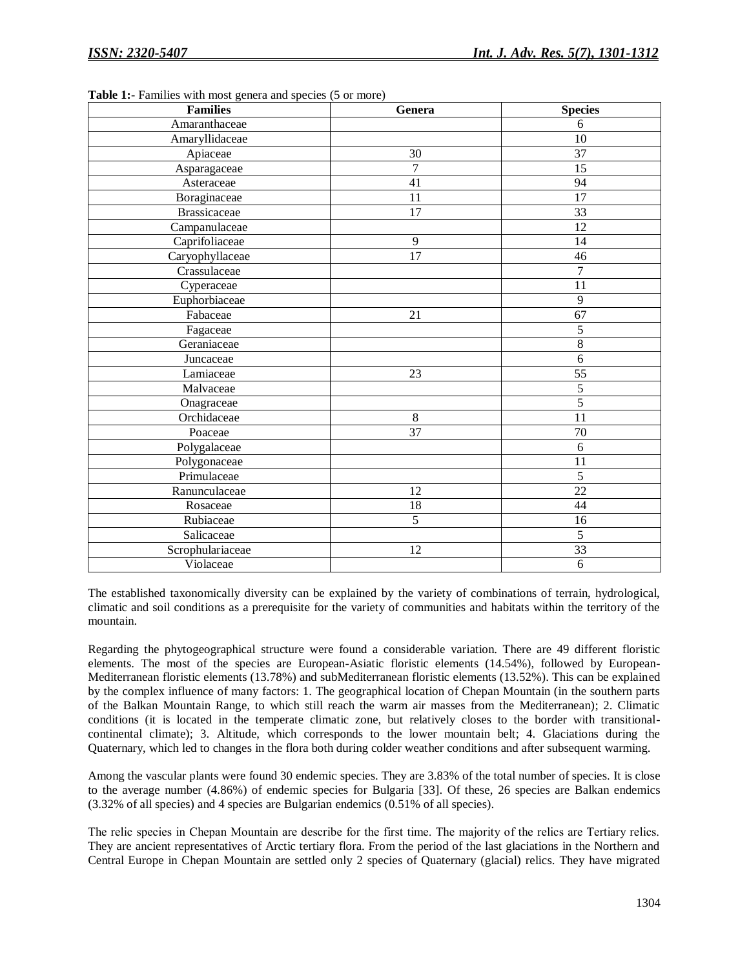| <b>Families</b>     | Genera          | <b>Species</b> |
|---------------------|-----------------|----------------|
| Amaranthaceae       |                 | 6              |
| Amaryllidaceae      |                 | 10             |
| Apiaceae            | 30              | 37             |
| Asparagaceae        | $\overline{7}$  | 15             |
| Asteraceae          | 41              | 94             |
| Boraginaceae        | 11              | 17             |
| <b>Brassicaceae</b> | $\overline{17}$ | 33             |
| Campanulaceae       |                 | 12             |
| Caprifoliaceae      | 9               | 14             |
| Caryophyllaceae     | 17              | 46             |
| Crassulaceae        |                 | $\overline{7}$ |
| Cyperaceae          |                 | 11             |
| Euphorbiaceae       |                 | 9              |
| Fabaceae            | 21              | 67             |
| Fagaceae            |                 | 5              |
| Geraniaceae         |                 | 8              |
| Juncaceae           |                 | 6              |
| Lamiaceae           | 23              | 55             |
| Malvaceae           |                 | $\overline{5}$ |
| Onagraceae          |                 | $\overline{5}$ |
| Orchidaceae         | $\,8\,$         | 11             |
| Poaceae             | 37              | 70             |
| Polygalaceae        |                 | 6              |
| Polygonaceae        |                 | 11             |
| Primulaceae         |                 | 5              |
| Ranunculaceae       | 12              | 22             |
| Rosaceae            | 18              | 44             |
| Rubiaceae           | 5               | 16             |
| Salicaceae          |                 | $\overline{5}$ |
| Scrophulariaceae    | 12              | 33             |
| Violaceae           |                 | 6              |

**Table 1:-** Families with most genera and species (5 or more)

The established taxonomically diversity can be explained by the variety of combinations of terrain, hydrological, climatic and soil conditions as a prerequisite for the variety of communities and habitats within the territory of the mountain.

Regarding the phytogeographical structure were found a considerable variation. There are 49 different floristic elements. The most of the species are European-Asiatic floristic elements (14.54%), followed by European-Mediterranean floristic elements (13.78%) and subMediterranean floristic elements (13.52%). This can be explained by the complex influence of many factors: 1. The geographical location of Chepan Mountain (in the southern parts of the Balkan Mountain Range, to which still reach the warm air masses from the Mediterranean); 2. Climatic conditions (it is located in the temperate climatic zone, but relatively closes to the border with transitionalcontinental climate); 3. Altitude, which corresponds to the lower mountain belt; 4. Glaciations during the Quaternary, which led to changes in the flora both during colder weather conditions and after subsequent warming.

Among the vascular plants were found 30 endemic species. They are 3.83% of the total number of species. It is close to the average number (4.86%) of endemic species for Bulgaria [33]. Of these, 26 species are Balkan endemics (3.32% of all species) and 4 species are Bulgarian endemics (0.51% of all species).

The relic species in Chepan Мountain are describe for the first time. The majority of the relics are Tertiary relics. They are ancient representatives of Arctic tertiary flora. From the period of the last glaciations in the Northern and Central Europe in Chepan Mountain are settled only 2 species of Quaternary (glacial) relics. They have migrated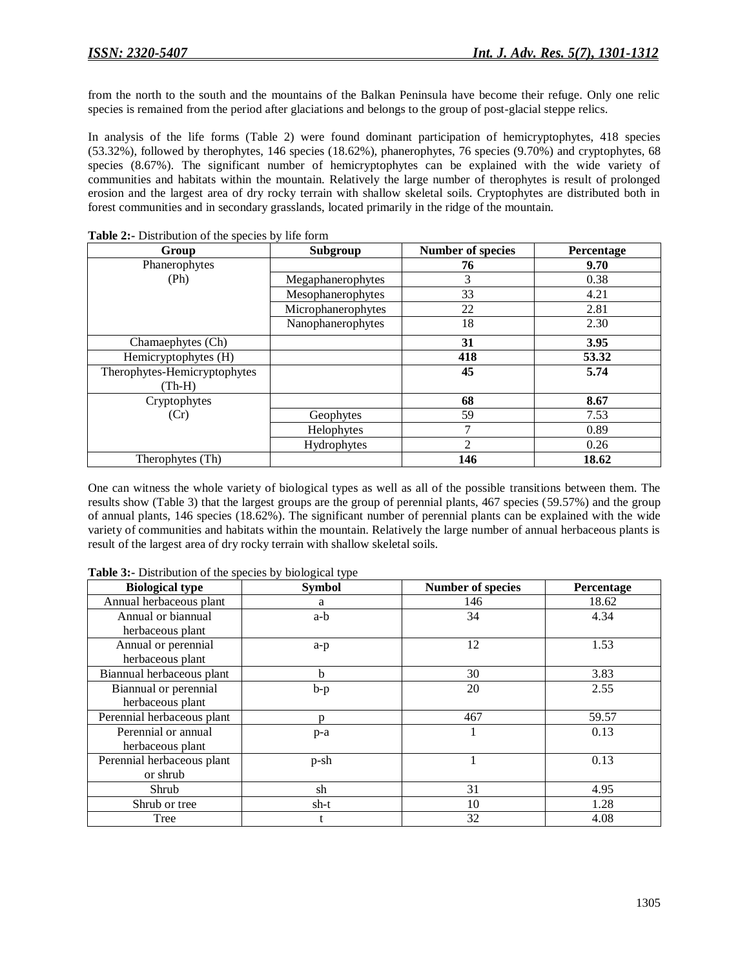from the north to the south and the mountains of the Balkan Peninsula have become their refuge. Only one relic species is remained from the period after glaciations and belongs to the group of post-glacial steppe relics.

In analysis of the life forms (Table 2) were found dominant participation of hemicryptophytes, 418 species (53.32%), followed by therophytes, 146 species (18.62%), phanerophytes, 76 species (9.70%) and cryptophytes, 68 species (8.67%). The significant number of hemicryptophytes can be explained with the wide variety of communities and habitats within the mountain. Relatively the large number of therophytes is result of prolonged erosion and the largest area of dry rocky terrain with shallow skeletal soils. Cryptophytes are distributed both in forest communities and in secondary grasslands, located primarily in the ridge of the mountain.

| Group                        | Subgroup           | <b>Number of species</b> | Percentage |
|------------------------------|--------------------|--------------------------|------------|
| Phanerophytes                |                    | 76                       | 9.70       |
| (Ph)                         | Megaphanerophytes  | 3                        | 0.38       |
|                              | Mesophanerophytes  | 33                       | 4.21       |
|                              | Microphanerophytes | 22                       | 2.81       |
|                              | Nanophanerophytes  | 18                       | 2.30       |
| Chamaephytes (Ch)            |                    | 31                       | 3.95       |
| Hemicryptophytes (H)         |                    | 418                      | 53.32      |
| Therophytes-Hemicryptophytes |                    | 45                       | 5.74       |
| $(Th-H)$                     |                    |                          |            |
| Cryptophytes                 |                    | 68                       | 8.67       |
| (Cr)                         | Geophytes          | 59                       | 7.53       |
|                              | <b>Helophytes</b>  | 7                        | 0.89       |
|                              | Hydrophytes        | 2                        | 0.26       |
| Therophytes (Th)             |                    | 146                      | 18.62      |

**Table 2:-** Distribution of the species by life form

One can witness the whole variety of biological types as well as all of the possible transitions between them. The results show (Table 3) that the largest groups are the group of perennial plants, 467 species (59.57%) and the group of annual plants, 146 species (18.62%). The significant number of perennial plants can be explained with the wide variety of communities and habitats within the mountain. Relatively the large number of annual herbaceous plants is result of the largest area of dry rocky terrain with shallow skeletal soils.

| <b>Table 3:-</b> Distribution of the species by biological type |  |  |  |
|-----------------------------------------------------------------|--|--|--|
|-----------------------------------------------------------------|--|--|--|

| <b>Biological type</b>     | <b>Symbol</b> | <b>Number of species</b> | Percentage |
|----------------------------|---------------|--------------------------|------------|
| Annual herbaceous plant    | a             | 146                      | 18.62      |
| Annual or biannual         | a-b           | 34                       | 4.34       |
| herbaceous plant           |               |                          |            |
| Annual or perennial        | $a-p$         | 12                       | 1.53       |
| herbaceous plant           |               |                          |            |
| Biannual herbaceous plant  | b             | 30                       | 3.83       |
| Biannual or perennial      | $b-p$         | 20                       | 2.55       |
| herbaceous plant           |               |                          |            |
| Perennial herbaceous plant | D             | 467                      | 59.57      |
| Perennial or annual        | $p-a$         |                          | 0.13       |
| herbaceous plant           |               |                          |            |
| Perennial herbaceous plant | $p-sh$        |                          | 0.13       |
| or shrub                   |               |                          |            |
| Shrub                      | sh            | 31                       | 4.95       |
| Shrub or tree              | sh-t          | 10                       | 1.28       |
| Tree                       | t             | 32                       | 4.08       |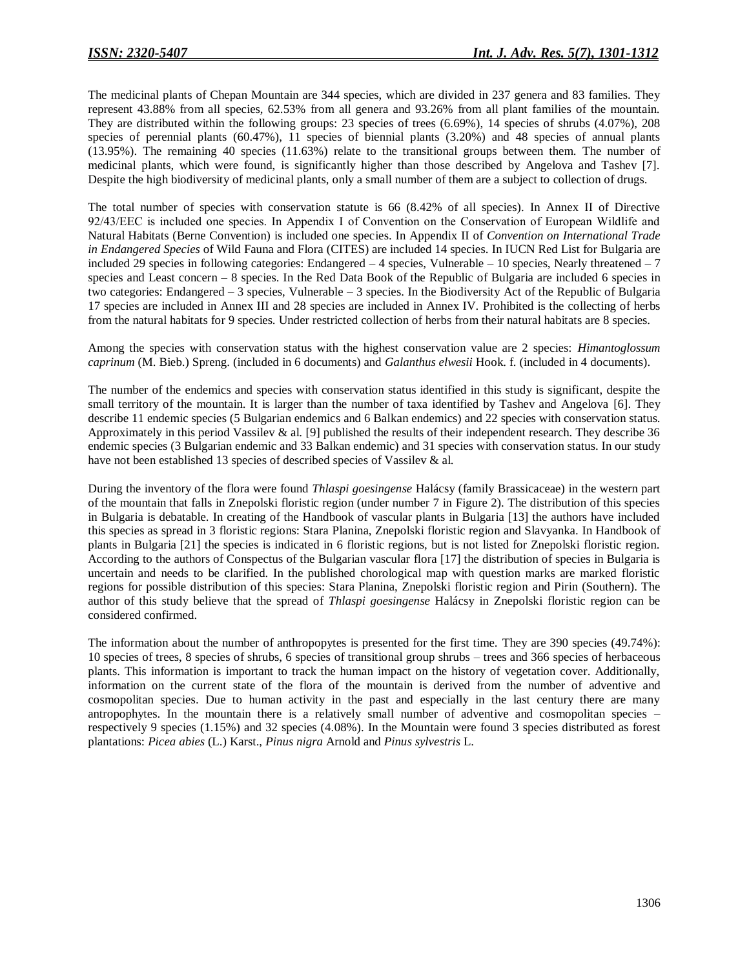The medicinal plants of Chepan Mountain are 344 species, which are divided in 237 genera and 83 families. They represent 43.88% from all species, 62.53% from all genera and 93.26% from all plant families of the mountain. They are distributed within the following groups: 23 species of trees (6.69%), 14 species of shrubs (4.07%), 208 species of perennial plants (60.47%), 11 species of biennial plants (3.20%) and 48 species of annual plants (13.95%). The remaining 40 species (11.63%) relate to the transitional groups between them. The number of medicinal plants, which were found, is significantly higher than those described by Angelova and Tashev [7]. Despite the high biodiversity of medicinal plants, only a small number of them are a subject to collection of drugs.

The total number of species with conservation statute is 66 (8.42% of all species). In Annex II of Directive 92/43/ЕЕС is included one species. In Appendix I of Convention on the Conservation of European Wildlife and Natural Habitats (Berne Convention) is included one species. In Appendix II of *Convention on International Trade in Endangered Species* of Wild Fauna and Flora (CITES) are included 14 species. In IUCN Red List for Bulgaria are included 29 species in following categories: Endangered – 4 species, Vulnerable – 10 species, Nearly threatened – 7 species and Least concern – 8 species. In the Red Data Book of the Republic of Bulgaria are included 6 species in two categories: Endangered – 3 species, Vulnerable – 3 species. In the Biodiversity Act of the Republic of Bulgaria 17 species are included in Annex III and 28 species are included in Annex IV. Prohibited is the collecting of herbs from the natural habitats for 9 species. Under restricted collection of herbs from their natural habitats are 8 species.

Among the species with conservation status with the highest conservation value are 2 species: *Himantoglossum caprinum* (M. Bieb.) Spreng. (included in 6 documents) and *Galanthus elwesii* Hook. f. (included in 4 documents).

The number of the endemics and species with conservation status identified in this study is significant, despite the small territory of the mountain. It is larger than the number of taxa identified by Tashev and Angelova [6]. They describe 11 endemic species (5 Bulgarian endemics and 6 Balkan endemics) and 22 species with conservation status. Approximately in this period Vassilev & al. [9] published the results of their independent research. They describe 36 endemic species (3 Bulgarian endemic and 33 Balkan endemic) and 31 species with conservation status. In our study have not been established 13 species of described species of Vassilev & al.

During the inventory of the flora were found *Thlaspi goesingense* Halácsy (family Brassicaceae) in the western part of the mountain that falls in Znepolski floristic region (under number 7 in Figure 2). The distribution of this species in Bulgaria is debatable. In creating of the Handbook of vascular plants in Bulgaria [13] the authors have included this species as spread in 3 floristic regions: Stara Planina, Znepolski floristic region and Slavyanka. In Handbook of plants in Bulgaria [21] the species is indicated in 6 floristic regions, but is not listed for Znepolski floristic region. According to the authors of Conspectus of the Bulgarian vascular flora [17] the distribution of species in Bulgaria is uncertain and needs to be clarified. In the published chorological map with question marks are marked floristic regions for possible distribution of this species: Stara Planina, Znepolski floristic region and Pirin (Southern). The author of this study believe that the spread of *Thlaspi goesingense* Halácsy in Znepolski floristic region can be considered confirmed.

The information about the number of anthropopytes is presented for the first time. They are 390 species (49.74%): 10 species of trees, 8 species of shrubs, 6 species of transitional group shrubs – trees and 366 species of herbaceous plants. This information is important to track the human impact on the history of vegetation cover. Additionally, information on the current state of the flora of the mountain is derived from the number of adventive and cosmopolitan species. Due to human activity in the past and especially in the last century there are many antropophytes. In the mountain there is a relatively small number of adventive and cosmopolitan species – respectively 9 species (1.15%) and 32 species (4.08%). In the Mountain were found 3 species distributed as forest plantations: *Picea abies* (L.) Karst., *Pinus nigra* Arnold and *Pinus sylvestris* L.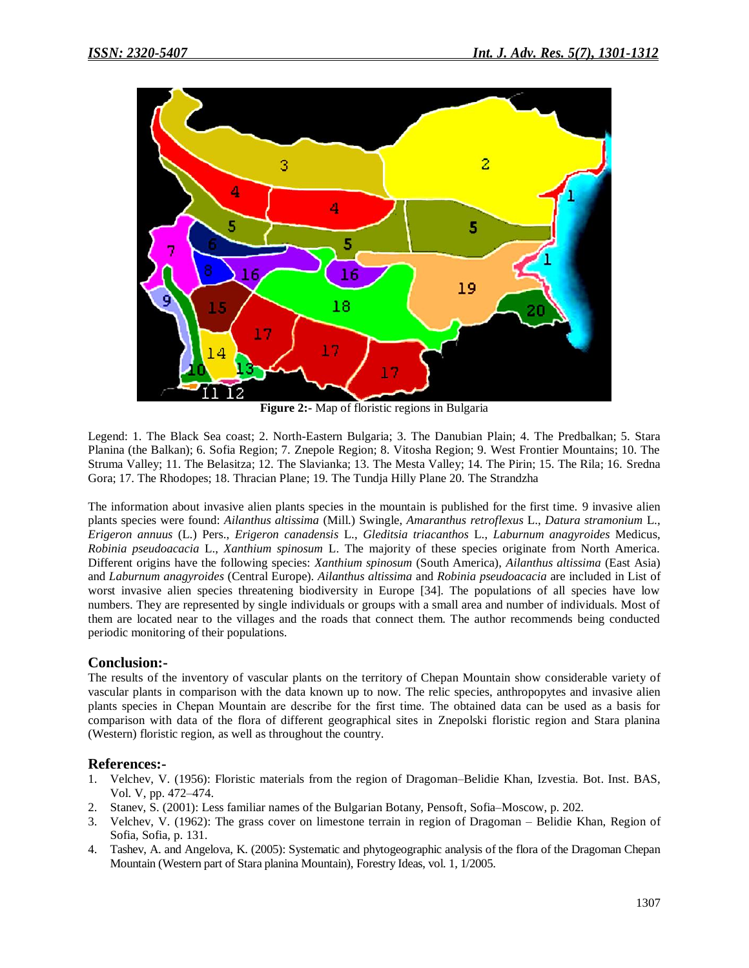

**Figure 2:-** Map of floristic regions in Bulgaria

Legend: 1. The Black Sea coast; 2. North-Eastern Bulgaria; 3. The Danubian Plain; 4. The Predbalkan; 5. Stara Planina (the Balkan); 6. Sofia Region; 7. Znepole Region; 8. Vitosha Region; 9. West Frontier Mountains; 10. The Struma Valley; 11. The Belasitza; 12. The Slavianka; 13. The Mesta Valley; 14. The Pirin; 15. The Rila; 16. Sredna Gora; 17. The Rhodopes; 18. Thracian Plane; 19. The Tundja Hilly Plane 20. The Strandzha

The information about invasive alien plants species in the mountain is published for the first time. 9 invasive alien plants species were found: *Ailanthus altissima* (Mill.) Swingle, *Amaranthus retroflexus* L., *Datura stramonium* L., *Erigeron annuus* (L.) Pers., *Erigeron canadensis* L., *Gleditsia triacanthos* L., *Laburnum anagyroides* Medicus, *Robinia pseudoacacia* L., *Xanthium spinosum* L. The majority of these species originate from North America. Different origins have the following species: *Xanthium spinosum* (South America), *Ailanthus altissima* (East Asia) and *Laburnum anagyroides* (Central Europe). *Ailanthus altissima* and *Robinia pseudoacacia* are included in List of worst invasive alien species threatening biodiversity in Europe [34]. The populations of all species have low numbers. They are represented by single individuals or groups with a small area and number of individuals. Most of them are located near to the villages and the roads that connect them. The author recommends being conducted periodic monitoring of their populations.

## **Conclusion:-**

The results of the inventory of vascular plants on the territory of Chepan Mountain show considerable variety of vascular plants in comparison with the data known up to now. The relic species, anthropopytes and invasive alien plants species in Chepan Мountain are describe for the first time. The obtained data can be used as a basis for comparison with data of the flora of different geographical sites in Znepolski floristic region and Stara planina (Western) floristic region, as well as throughout the country.

## **References:-**

- 1. Velchev, V. (1956): Floristic materials from the region of Dragoman–Belidie Khan, Izvestia. Bot. Inst. BAS, Vol. V, pp. 472–474.
- 2. Stanev, S. (2001): Less familiar names of the Bulgarian Botany, Pensoft, Sofia–Moscow, p. 202.
- 3. Velchev, V. (1962): The grass cover on limestone terrain in region of Dragoman Belidie Khan, Region of Sofia, Sofia, p. 131.
- 4. Tashev, A. and Angelova, K. (2005): Systematic and phytogeographic analysis of the flora of the Dragoman Chepan Mountain (Western part of Stara planina Mountain), Forestry Ideas, vol. 1, 1/2005.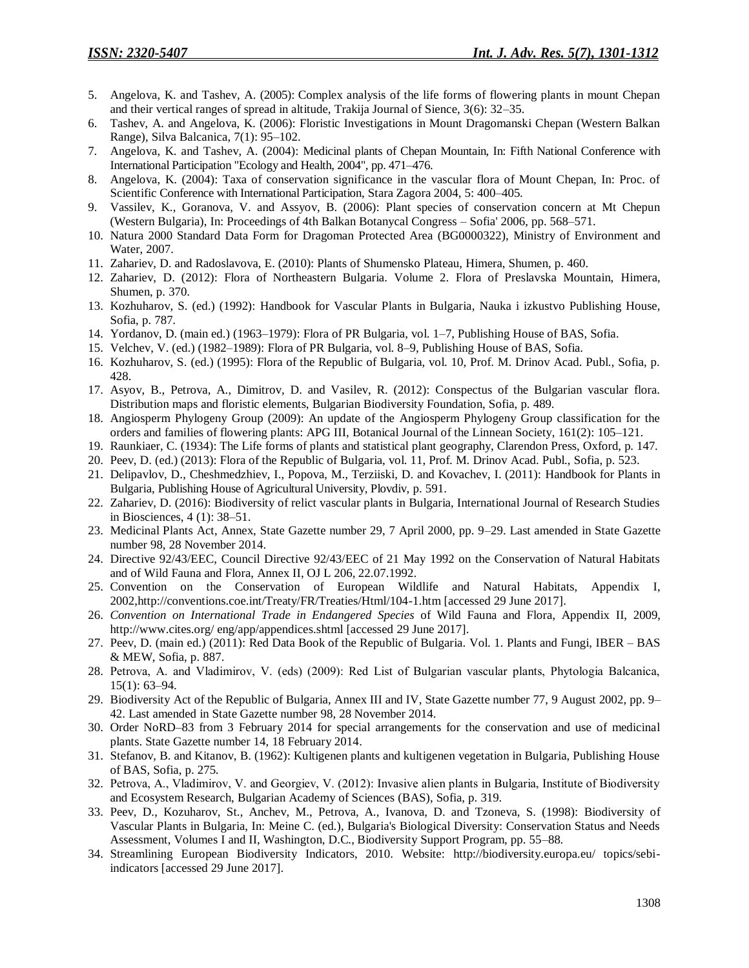- 5. Angelova, K. and Tashev, A. (2005): Complex analysis of the life forms of flowering plants in mount Chepan and their vertical ranges of spread in altitude, Trakija Journal of Sience, 3(6): 32–35.
- 6. Tashev, A. and Angelova, K. (2006): Floristic Investigations in Mount Dragomanski Chepan (Western Balkan Range), Silva Balcanica, 7(1): 95–102.
- 7. Angelova, K. and Tashev, A. (2004): Medicinal plants of Chepan Mountain, In: Fifth National Conference with International Participation "Ecology and Health, 2004", pp. 471–476.
- 8. Angelova, K. (2004): Taxa of conservation significance in the vascular flora of Mount Chepan, In: Proc. of Scientific Conference with International Participation, Stara Zagora 2004, 5: 400–405.
- 9. Vassilev, K., Goranova, V. and Assyov, B. (2006): Plant species of conservation concern at Mt Chepun (Western Bulgaria), In: Proceedings of 4th Balkan Botanycal Congress – Sofia' 2006, pp. 568–571.
- 10. Natura 2000 Standard Data Form for Dragoman Protected Area (BG0000322), Ministry of Environment and Water, 2007.
- 11. Zahariev, D. and Radoslavova, E. (2010): Plants of Shumensko Plateau, Himera, Shumen, p. 460.
- 12. Zahariev, D. (2012): Flora of Northeastern Bulgaria. Volume 2. Flora of Preslavska Mountain, Himera, Shumen, p. 370.
- 13. Kozhuharov, S. (ed.) (1992): Handbook for Vascular Plants in Bulgaria, Nauka i izkustvo Publishing House, Sofia, p. 787.
- 14. Yordanov, D. (main ed.) (1963–1979): Flora of PR Bulgaria, vol. 1–7, Publishing House of BAS, Sofia.
- 15. Velchev, V. (ed.) (1982–1989): Flora of PR Bulgaria, vol. 8–9, Publishing House of BAS, Sofia.
- 16. Kozhuharov, S. (ed.) (1995): Flora of the Republic of Bulgaria, vol. 10, Prof. M. Drinov Acad. Publ., Sofia, p. 428.
- 17. Asyov, B., Petrova, A., Dimitrov, D. and Vasilev, R. (2012): Conspectus of the Bulgarian vascular flora. Distribution maps and floristic elements, Bulgarian Biodiversity Foundation, Sofia, p. 489.
- 18. Angiosperm Phylogeny Group (2009): An update of the Angiosperm Phylogeny Group classification for the orders and families of flowering plants: APG III, Botanical Journal of the Linnean Society, 161(2): 105–121.
- 19. Raunkiaer, C. (1934): The Life forms of plants and statistical plant geography, Clarendon Press, Oxford, p. 147.
- 20. Peev, D. (ed.) (2013): Flora of the Republic of Bulgaria, vol. 11, Prof. M. Drinov Acad. Publ., Sofia, p. 523.
- 21. Delipavlov, D., Cheshmedzhiev, I., Popova, M., Terziiski, D. and Kovachev, I. (2011): Handbook for Plants in Bulgaria, Publishing House of Agricultural University, Plovdiv, p. 591.
- 22. Zahariev, D. (2016): Biodiversity of relict vascular plants in Bulgaria, International Journal of Research Studies in Biosciences, 4 (1): 38–51.
- 23. Medicinal Plants Act, Annex, State Gazette number 29, 7 April 2000, pp. 9–29. Last amended in State Gazette number 98, 28 November 2014.
- 24. Directive 92/43/EEC, Council Directive 92/43/EEC of 21 May 1992 on the Conservation of Natural Habitats and of Wild Fauna and Flora, Annex II, OJ L 206, 22.07.1992.
- 25. Convention on the Conservation of European Wildlife and Natural Habitats, Appendix I, 2002,http://conventions.coe.int/Treaty/FR/Treaties/Html/104-1.htm [accessed 29 June 2017].
- 26. *Convention on International Trade in Endangered Species* of Wild Fauna and Flora, Appendix II, 2009, http://www.cites.org/ eng/app/appendices.shtml [accessed 29 June 2017].
- 27. Peev, D. (main ed.) (2011): Red Data Book of the Republic of Bulgaria. Vol. 1. Plants and Fungi, IBER BAS & MEW, Sofia, p. 887.
- 28. Petrova, А. and Vladimirov, V. (eds) (2009): Red List of Bulgarian vascular plants, Phytologia Balcanica, 15(1): 63–94.
- 29. Biodiversity Act of the Republic of Bulgaria, Annex III and IV, State Gazette number 77, 9 August 2002, pp. 9– 42. Last amended in State Gazette number 98, 28 November 2014.
- 30. Order NoRD–83 from 3 February 2014 for special arrangements for the conservation and use of medicinal plants. State Gazette number 14, 18 February 2014.
- 31. Stefanov, B. and Kitanov, B. (1962): Kultigenen plants and kultigenen vegetation in Bulgaria, Publishing House of BAS, Sofia, p. 275.
- 32. Petrova, А., Vladimirov, V. and Georgiev, V. (2012): Invasive alien plants in Bulgaria, Institute of Biodiversity and Ecosystem Research, Bulgarian Academy of Sciences (BAS), Sofia, p. 319.
- 33. Peev, D., Kozuharov, St., Anchev, M., Petrova, A., Ivanova, D. and Tzoneva, S. (1998): Biodiversity of Vascular Plants in Bulgaria, In: Meine C. (ed.), Bulgaria's Biological Diversity: Conservation Status and Needs Assessment, Volumes I and II, Washington, D.C., Biodiversity Support Program, pp. 55–88.
- 34. Streamlining European Biodiversity Indicators, 2010. Website: http://biodiversity.europa.eu/ topics/sebiindicators [accessed 29 June 2017].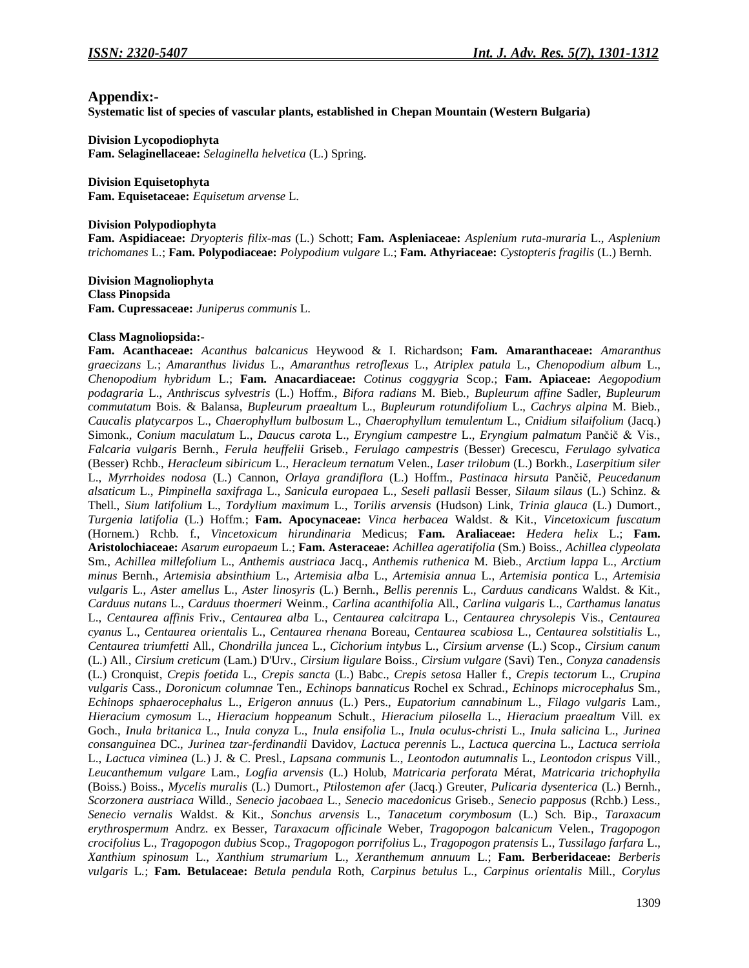## **Appendix:-**

**Systematic list of species of vascular plants, established in Chepan Mountain (Western Bulgaria)**

**Division Lycopodiophyta**

**Fam. Selaginellaceae:** *Selaginella helvetica* (L.) Spring.

**Division Equisetophyta Fam. Equisetaceae:** *Equisetum arvense* L.

#### **Division Polypodiophyta**

**Fam. Aspidiaceae:** *Dryopteris filix-mas* (L.) Schott; **Fam. Aspleniaceae:** *Asplenium ruta-muraria* L., *Asplenium trichomanes* L.; **Fam. Polypodiaceae:** *Polypodium vulgare* L.; **Fam. Athyriaceae:** *Cystopteris fragilis* (L.) Bernh.

**Division Magnoliophyta Class Pinopsida Fam. Cupressaceae:** *Juniperus communis* L.

## **Class Magnoliopsida:-**

**Fam. Acanthaceae:** *Acanthus balcanicus* Heywood & I. Richardson; **Fam. Amaranthaceae:** *Amaranthus graecizans* L.; *Amaranthus lividus* L., *Amaranthus retroflexus* L., *Atriplex patula* L., *Chenopodium album* L., *Chenopodium hybridum* L.; **Fam. Anacardiaceae:** *Cotinus coggygria* Scop.; **Fam. Apiaceae:** *Aegopodium podagraria* L., *Anthriscus sylvestris* (L.) Hoffm., *Bifora radians* M. Bieb., *Bupleurum affine* Sadler, *Bupleurum commutatum* Bois. & Balansa, *Bupleurum praealtum* L., *Bupleurum rotundifolium* L., *Cachrys alpina* M. Bieb., *Caucalis platycarpos* L., *Chaerophyllum bulbosum* L., *Chaerophyllum temulentum* L., *Cnidium silaifolium* (Jacq.) Simonk., *Conium maculatum* L., *Daucus carota* L., *Eryngium campestre* L., *Eryngium palmatum* Pančič & Vis., *Falcaria vulgaris* Bernh., *Ferula heuffelii* Griseb., *Ferulago campestris* (Besser) Grecescu, *Ferulago sylvatica* (Besser) Rchb., *Heracleum sibiricum* L., *Heracleum ternatum* Velen., *Laser trilobum* (L.) Borkh., *Laserpitium siler* L., *Myrrhoides nodosa* (L.) Cannon, *Orlaya grandiflora* (L.) Hoffm., *Pastinaca hirsuta* Pančič, *Peucedanum alsaticum* L., *Pimpinella saxifraga* L., *Sanicula europaea* L., *Seseli pallasii* Besser, *Silaum silaus* (L.) Schinz. & Thell., *Sium latifolium* L., *Tordylium maximum* L., *Torilis arvensis* (Hudson) Link, *Trinia glauca* (L.) Dumort., *Turgenia latifolia* (L.) Hoffm.; **Fam. Apocynaceae:** *Vinca herbacea* Waldst. & Kit., *Vincetoxicum fuscatum*  (Hornem.) Rchb. f., *Vincetoxicum hirundinaria* Medicus; **Fam. Araliaceae:** *Hedera helix* L.; **Fam. Aristolochiaceae:** *Asarum europaeum* L.; **Fam. Asteraceae:** *Achillea ageratifolia* (Sm.) Boiss., *Achillea clypeolata* Sm., *Achillea millefolium* L., *Anthemis austriaca* Jacq., *Anthemis ruthenica* M. Bieb., *Arctium lappa* L., *Arctium minus* Bernh., *Artemisia absinthium* L., *Artemisia alba* L., *Artemisia annua* L., *Artemisia pontica* L., *Artemisia vulgaris* L., *Aster amellus* L., *Aster linosyris* (L.) Bernh., *Bellis perennis* L., *Carduus candicans* Waldst. & Kit., *Carduus nutans* L., *Carduus thoermeri* Weinm., *Carlina acanthifolia* All., *Carlina vulgaris* L., *Carthamus lanatus*  L., *Centaurea affinis* Friv., *Centaurea alba* L., *Centaurea calcitrapa* L., *Centaurea chrysolepis* Vis., *Centaurea cyanus* L., *Centaurea orientalis* L., *Centaurea rhenana* Boreau, *Centaurea scabiosa* L., *Centaurea solstitialis* L., *Centaurea triumfetti* All., *Chondrilla juncea* L., *Cichorium intybus* L., *Cirsium arvense* (L.) Scop., *Cirsium canum* (L.) All., *Cirsium creticum* (Lam.) D'Urv., *Cirsium ligulare* Boiss., *Cirsium vulgare* (Savi) Ten., *Conyza canadensis*  (L.) Cronquist, *Crepis foetida* L., *Crepis sancta* (L.) Babc., *Crepis setosa* Haller f., *Crepis tectorum* L., *Crupina vulgaris* Cass., *Doronicum columnae* Ten., *Echinops bannaticus* Rochel ex Schrad., *Echinops microcephalus* Sm., *Echinops sphaerocephalus* L., *Erigeron annuus* (L.) Pers., *Eupatorium cannabinum* L., *Filago vulgaris* Lam., *Hieracium cymosum* L., *Hieracium hoppeanum* Schult., *Hieracium pilosella* L., *Hieracium praealtum* Vill. ex Goch., *Inula britanica* L., *Inula conyza* L., *Inula ensifolia* L., *Inula oculus-christi* L., *Inula salicina* L., *Jurinea consanguinea* DC., *Jurinea tzar-ferdinandii* Davidov, *Lactuca perennis* L., *Lactuca quercina* L., *Lactuca serriola* L., *Lactuca viminea* (L.) J. & C. Presl., *Lapsana communis* L., *Leontodon autumnalis* L., *Leontodon crispus* Vill., *Leucanthemum vulgare* Lam., *Logfia arvensis* (L.) Holub, *Matricaria perforata* Mérat, *Matricaria trichophylla* (Boiss.) Boiss., *Mycelis muralis* (L.) Dumort., *Ptilostemon afer* (Jacq.) Greuter, *Pulicaria dysenterica* (L.) Bernh., *Scorzonera austriaca* Willd., *Senecio jacobaea* L., *Senecio macedonicus* Griseb., *Senecio papposus* (Rchb.) Less., *Senecio vernalis* Waldst. & Kit., *Sonchus arvensis* L., *Tanacetum corymbosum* (L.) Sch. Bip., *Taraxacum erythrospermum* Andrz. ex Besser, *Taraxacum officinale* Weber, *Tragopogon balcanicum* Velen., *Tragopogon crocifolius* L., *Tragopogon dubius* Scop., *Tragopogon porrifolius* L., *Tragopogon pratensis* L., *Tussilago farfara* L., *Xanthium spinosum* L., *Xanthium strumarium* L., *Xeranthemum annuum* L.; **Fam. Berberidaceae:** *Berberis vulgaris* L*.*; **Fam. Betulaceae:** *Betula pendula* Roth, *Carpinus betulus* L., *Carpinus orientalis* Mill., *Corylus*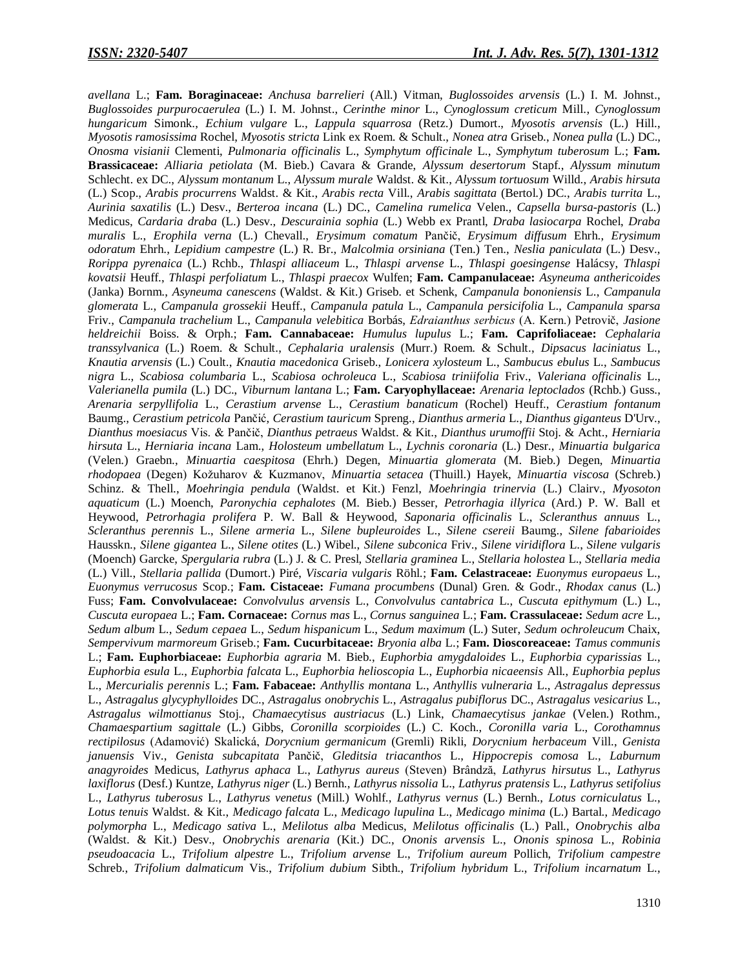*avellana* L.; **Fam. Boraginaceae:** *Anchusa barrelieri* (All.) Vitman, *Buglossoides arvensis* (L.) I. M. Johnst., *Buglossoides purpurocaerulea* (L.) I. M. Johnst., *Cerinthe minor* L., *Cynoglossum creticum* Mill., *Cynoglossum hungaricum* Simonk., *Echium vulgare* L., *Lappula squarrosa* (Retz.) Dumort., *Myosotis arvensis* (L.) Hill., *Myosotis ramosissima* Rochel, *Myosotis stricta* Link ex Roem. & Schult., *Nonea atra* Griseb., *Nonea pulla* (L.) DC., *Onosma visianii* Clementi, *Pulmonaria officinalis* L., *Symphytum officinale* L., *Symphytum tuberosum* L.; **Fam. Brassicaceae:** *Alliaria petiolata* (M. Bieb.) Cavara & Grande, *Alyssum desertorum* Stapf., *Alyssum minutum*  Schlecht. ex DC., *Alyssum montanum* L., *Alyssum murale* Waldst. & Kit., *Alyssum tortuosum* Willd., *Arabis hirsuta* (L.) Scop., *Arabis procurrens* Waldst. & Kit., *Arabis recta* Vill., *Arabis sagittata* (Bertol.) DC., *Arabis turrita* L., *Aurinia saxatilis* (L.) Desv., *Berteroa incana* (L.) DC., *Camelina rumelica* Velen., *Capsella bursa-pastoris* (L.) Medicus, *Cardaria draba* (L.) Desv., *Descurainia sophia* (L.) Webb ex Prantl, *Draba lasiocarpa* Rochel, *Draba muralis* L., *Erophila verna* (L.) Chevall., *Erysimum comatum* Pančič, *Erysimum diffusum* Ehrh., *Erysimum odoratum* Ehrh., *Lepidium campestre* (L.) R. Br., *Malcolmia orsiniana* (Ten.) Ten., *Neslia paniculata* (L.) Desv., *Rorippa pyrenaica* (L.) Rchb., *Thlaspi alliaceum* L., *Thlaspi arvense* L., *Thlaspi goesingense* Halácsy, *Thlaspi kovatsii* Heuff., *Thlaspi perfoliatum* L., *Thlaspi praecox* Wulfen; **Fam. Campanulaceae:** *Asyneuma anthericoides* (Janka) Bornm., *Asyneuma canescens* (Waldst. & Kit.) Griseb. et Schenk, *Campanula bononiensis* L., *Campanula glomerata* L., *Campanula grossekii* Heuff., *Campanula patula* L., *Campanula persicifolia* L., *Campanula sparsa* Friv., *Campanula trachelium* L., *Campanula velebitica* Borbás, *Еdraianthus serbicus* (A. Kern.) Petrovič, *Jasione heldreichii* Boiss. & Orph.; **Fam. Cannabaceae:** *Humulus lupulus* L.; **Fam. Caprifoliaceae:** *Cephalaria transsylvanica* (L.) Roem. & Schult., *Cephalaria uralensis* (Murr.) Roem. & Schult., *Dipsacus laciniatus* L., *Knautia arvensis* (L.) Coult., *Knautia macedonica* Griseb., *Lonicera xylosteum* L., *Sambucus ebulus* L., *Sambucus nigra* L., *Scabiosa columbaria* L., *Scabiosa ochroleuca* L., *Scabiosa triniifolia* Friv., *Valeriana officinalis* L., *Valerianella pumila* (L.) DC., *Viburnum lantana* L.; **Fam. Caryophyllaceae:** *Arenaria leptoclados* (Rchb.) Guss., *Arenaria serpyllifolia* L., *Cerastium arvense* L., *Cerastium banaticum* (Rochel) Heuff., *Cerastium fontanum*  Baumg., *Cerastium petricola* Pančić, *Cerastium tauricum* Spreng., *Dianthus armeria* L., *Dianthus giganteus* D'Urv., *Dianthus moesiacus* Vis. & Pančič, *Dianthus petraeus* Waldst. & Kit., *Dianthus urumoffii* Stoj. & Acht., *Herniaria hirsuta* L., *Herniaria incana* Lam., *Holosteum umbellatum* L., *Lychnis coronaria* (L.) Desr., *Minuartia bulgarica* (Velen.) Graebn., *Minuartia caespitosa* (Ehrh.) Degen, *Minuartia glomerata* (M. Bieb.) Degen, *Minuartia rhodopaea* (Degen) Kožuharov & Kuzmanov, *Minuartia setacea* (Thuill.) Hayek, *Minuartia viscosa* (Schreb.) Schinz. & Thell., *Moehringia pendula* (Waldst. et Kit.) Fenzl, *Moehringia trinervia* (L.) Clairv., *Myosoton aquaticum* (L.) Moench, *Paronychia cephalotes* (M. Bieb.) Besser, *Petrorhagia illyrica* (Ard.) P. W. Ball et Heywood, *Petrorhagia prolifera* P. W. Ball & Heywood, *Saponaria officinalis* L., *Scleranthus annuus* L., *Scleranthus perennis* L., *Silene armeria* L., *Silene bupleuroides* L., *Silene csereii* Baumg., *Silene fabarioides*  Hausskn., *Silene gigantea* L., *Silene otites* (L.) Wibel., *Silene subconica* Friv., *Silene viridiflora* L., *Silene vulgaris*  (Moench) Garcke, *Spergularia rubra* (L.) J. & C. Presl, *Stellaria graminea* L., *Stellaria holostea* L., *Stellaria media* (L.) Vill., *Stellaria pallida* (Dumort.) Piré, *Viscaria vulgaris* Röhl.; **Fam. Celastraceae:** *Euonymus europaeus* L., *Euonymus verrucosus* Scop.; **Fam. Cistaceae:** *Fumana procumbens* (Dunal) Gren. & Godr., *Rhodax canus* (L.) Fuss; **Fam. Convolvulaceae:** *Convolvulus arvensis* L., *Convolvulus cantabrica* L., *Cuscuta epithymum* (L.) L., *Cuscuta europaea* L.; **Fam. Cornaceae:** *Cornus mas* L., *Cornus sanguinea* L.; **Fam. Crassulaceae:** *Sedum acre* L., *Sedum album* L., *Sedum cepaea* L., *Sedum hispanicum* L., *Sedum maximum* (L.) Suter, *Sedum ochroleucum* Chaix, *Sempervivum marmoreum* Griseb.; **Fam. Cucurbitaceae:** *Bryonia alba* L.; **Fam. Dioscoreaceae:** *Tamus communis*  L.; **Fam. Euphorbiaceae:** *Euphorbia agraria* M. Bieb., *Euphorbia amygdaloides* L., *Euphorbia cyparissias* L., *Euphorbia esula* L., *Euphorbia falcata* L., *Euphorbia helioscopia* L., *Euphorbia nicaeensis* All., *Euphorbia peplus*  L., *Mercurialis perennis* L.; **Fam. Fabaceae:** *Anthyllis montana* L., *Anthyllis vulneraria* L., *Astragalus depressus* L., *Astragalus glycyphylloides* DC., *Astragalus onobrychis* L., *Astragalus pubiflorus* DC., *Astragalus vesicarius* L., *Astragalus wilmottianus* Stoj., *Chamaecytisus austriacus* (L.) Link, *Chamaecytisus jankae* (Velen.) Rothm., *Chamaespartium sagittale* (L.) Gibbs, *Coronilla scorpioides* (L.) C. Koch., *Coronilla varia* L., *Corothamnus rectipilosus* (Adamović) Skalická, *Dorycnium germanicum* (Gremli) Rikli, *Dorycnium herbaceum* Vill., *Genista januensis* Viv., *Genista subcapitata* Pančič, *Gleditsia triacanthos* L., *Hippocrepis comosa* L., *Laburnum anagyroides* Medicus, *Lathyrus aphaca* L., *Lathyrus aureus* (Steven) Brândză, *Lathyrus hirsutus* L., *Lathyrus laxiflorus* (Desf.) Kuntze, *Lathyrus niger* (L.) Bernh., *Lathyrus nissolia* L., *Lathyrus pratensis* L., *Lathyrus setifolius*  L., *Lathyrus tuberosus* L., *Lathyrus venetus* (Mill.) Wohlf., *Lathyrus vernus* (L.) Bernh., *Lotus corniculatus* L., *Lotus tenuis* Waldst. & Kit., *Medicago falcata* L., *Medicago lupulina* L., *Medicago minima* (L.) Bartal., *Medicago polymorpha* L., *Medicago sativa* L., *Melilotus alba* Medicus, *Melilotus officinalis* (L.) Pall., *Onobrychis alba*  (Waldst. & Kit.) Desv., *Onobrychis arenaria* (Kit.) DC., *Ononis arvensis* L., *Ononis spinosa* L., *Robinia pseudoacacia* L., *Trifolium alpestre* L., *Trifolium arvense* L., *Trifolium aureum* Pollich, *Trifolium campestre*  Schreb., *Trifolium dalmaticum* Vis., *Trifolium dubium* Sibth., *Trifolium hybridum* L., *Trifolium incarnatum* L.,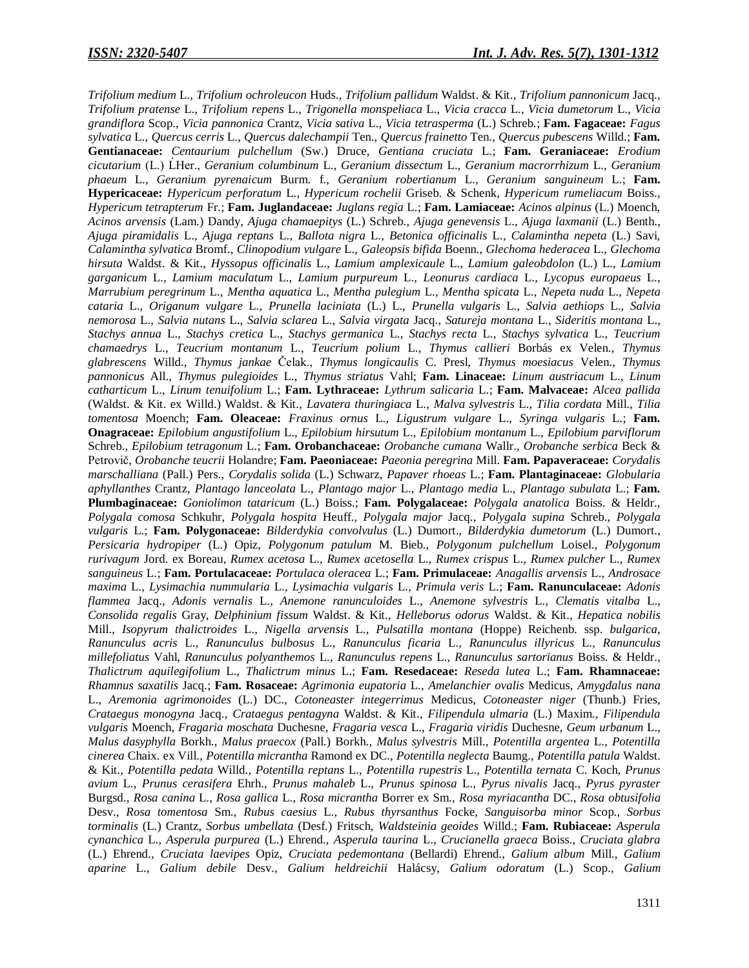*Trifolium medium* L., *Trifolium ochroleucon* Huds., *Trifolium pallidum* Waldst. & Kit., *Trifolium pannonicum* Jacq., *Trifolium pratense* L., *Trifolium repens* L., *Trigonella monspeliaca* L., *Vicia cracca* L., *Vicia dumetorum* L., *Vicia grandiflora* Scop., *Vicia pannonica* Crantz, *Vicia sativa* L., *Vicia tetrasperma* (L.) Schreb.; **Fam. Fagaceae:** *Fagus sylvatica* L., *Quercus cerris* L., *Quercus dalechampii* Ten., *Quercus frainetto* Ten., *Quercus pubescens* Willd.; **Fam. Gentianaceae:** *Centaurium pulchellum* (Sw.) Druce, *Gentiana cruciata* L.; **Fam. Geraniaceae:** *Erodium cicutarium* (L.) L er., *Geranium columbinum* L., *Geranium dissectum* L., *Geranium macrorrhizum* L., *Geranium phaeum* L., *Geranium pyrenaicum* Burm. f., *Geranium robertianum* L., *Geranium sanguineum* L.; **Fam. Hypericaceae:** *Hypericum perforatum* L., *Hypericum rochelii* Griseb. & Schenk, *Hypericum rumeliacum* Boiss., *Hypericum tetrapterum* Fr.; **Fam. Juglandaceae:** *Juglans regia* L.; **Fam. Lamiaceae:** *Acinos alpinus* (L.) Moench, *Acinos arvensis* (Lam.) Dandy, *Ajuga chamaepitys* (L.) Schreb., *Ajuga genevensis* L., *Ajuga laxmanii* (L.) Benth., *Ajuga piramidalis* L., *Ajuga reptans* L., *Ballota nigra* L., *Betonica officinalis* L., *Calamintha nepeta* (L.) Savi, *Calamintha sylvatica* Bromf., *Clinopodium vulgare* L., *Galeopsis bifida* Boenn., *Glechoma hederacea* L., *Glechoma hirsuta* Waldst. & Kit., *Hyssopus officinalis* L., *Lamium amplexicaule* L., *Lamium galeobdolon* (L.) L., *Lamium garganicum* L., *Lamium maculatum* L., *Lamium purpureum* L., *Leonurus cardiaca* L., *Lycopus europaeus* L., *Marrubium peregrinum* L., *Mentha aquatica* L., *Mentha pulegium* L., *Mentha spicata* L., *Nepeta nuda* L., *Nepeta cataria* L., *Origanum vulgare* L., *Prunella laciniata* (L.) L., *Prunella vulgaris* L., *Salvia aethiops* L., *Salvia nemorosa* L., *Salvia nutans* L., *Salvia sclarea* L., *Salvia virgata* Jacq., *Satureja montana* L., *Sideritis montana* L., *Stachys annua* L., *Stachys cretica* L., *Stachys germanica* L., *Stachys recta* L., *Stachys sylvatica* L., *Teucrium chamaedrys* L., *Teucrium montanum* L., *Teucrium polium* L., *Thymus callieri* Borbás ex Velen., *Thymus glabrescens* Willd., *Thymus jankae* Čelak., *Thymus longicaulis* C. Presl, *Thymus moesiacus* Velen., *Thymus pannonicus* All., *Thymus pulegioides* L., *Thymus striatus* Vahl; **Fam. Linaceae:** *Linum austriacum* L., *Linum catharticum* L., *Linum tenuifolium* L.; **Fam. Lythraceae:** *Lythrum salicaria* L.; **Fam. Malvaceae:** *Alcea pallida*  (Waldst. & Kit. ex Willd.) Waldst. & Kit., *Lavatera thuringiaca* L., *Malva sylvestris* L., *Tilia cordata* Mill., *Tilia tomentosa* Moench; **Fam. Oleaceae:** *Fraxinus ornus* L., *Ligustrum vulgare* L., *Syringa vulgaris* L.; **Fam. Onagraceae:** *Epilobium angustifolium* L., *Epilobium hirsutum* L., *Epilobium montanum* L., *Epilobium parviflorum*  Schreb., *Epilobium tetragonum* L.; **Fam. Orobanchaceae:** *Orobanche cumana* Wallr., *Orobanche serbica* Beck & Petrovič, *Orobanche teucrii* Holandre; **Fam. Paeoniaceae:** *Paeonia peregrina* Mill. **Fam. Papaveraceae:** *Corydalis marschalliana* (Pall.) Pers., *Corydalis solida* (L.) Schwarz, *Papaver rhoeas* L.; **Fam. Plantaginaceae:** *Globularia aphyllanthes* Crantz, *Plantago lanceolata* L., *Plantago major* L., *Plantago media* L., *Plantago subulata* L.; **Fam. Plumbaginaceae:** *Goniolimon tataricum* (L.) Boiss.; **Fam. Polygalaceae:** *Polygala anatolica* Boiss. & Heldr., *Polygala comosa* Schkuhr, *Polygala hospita* Heuff., *Polygala major* Jacq., *Polygala supina* Schreb., *Polygala vulgaris* L.; **Fam. Polygonaceae:** *Bilderdykia convolvulus* (L.) Dumort., *Bilderdykia dumetorum* (L.) Dumort., *Persicaria hydropiper* (L.) Opiz, *Polygonum patulum* M. Bieb., *Polygonum pulchellum* Loisel., *Polygonum rurivagum* Jord. ex Boreau, *Rumex acetosa* L., *Rumex acetosella* L., *Rumex crispus* L., *Rumex pulcher* L., *Rumex sanguineus* L.; **Fam. Portulacaceae:** *Portulaca oleracea* L.; **Fam. Primulaceae:** *Anagallis arvensis* L., *Androsace maxima* L., *Lysimachia nummularia* L., *Lysimachia vulgaris* L., *Primula veris* L.; **Fam. Ranunculaceae:** *Adonis flammea* Jacq., *Adonis vernalis* L., *Anemone ranunculoides* L., *Anemone sylvestris* L., *Clematis vitalba* L., *Consolida regalis* Gray, *Delphinium fissum* Waldst. & Kit., *Helleborus odorus* Waldst. & Kit., *Hepatica nobilis*  Mill., *Isopyrum thalictroides* L., *Nigella arvensis* L., *Pulsatilla montana* (Hoppe) Reichenb. ssp. *bulgarica*, *Ranunculus acris* L., *Ranunculus bulbosus* L., *Ranunculus ficaria* L., *Ranunculus illyricus* L., *Ranunculus millefoliatus* Vahl, *Ranunculus polyanthemos* L., *Ranunculus repens* L., *Ranunculus sartorianus* Boiss. & Heldr., *Thalictrum aquilegifolium* L., *Thalictrum minus* L.; **Fam. Resedaceae:** *Reseda lutea* L.; **Fam. Rhamnaceae:**  *Rhamnus saxatilis* Jacq.; **Fam. Rosaceae:** *Agrimonia eupatoria* L., *Amelanchier ovalis* Medicus, *Amygdalus nana*  L., *Aremonia agrimonoides* (L.) DC., *Cotoneaster integerrimus* Medicus, *Cotoneaster niger* (Thunb.) Fries, *Crataegus monogyna* Jacq., *Crataegus pentagyna* Waldst. & Kit., *Filipendula ulmaria* (L.) Maxim., *Filipendula vulgaris* Moench, *Fragaria moschata* Duchesne, *Fragaria vesca* L., *Fragaria viridis* Duchesne, *Geum urbanum* L., *Malus dasyphylla* Borkh., *Malus praecox* (Pall.) Borkh., *Malus sylvestris* Mill., *Potentilla argentea* L., *Potentilla cinerea* Chaix. ex Vill., *Potentilla micrantha* Ramond ex DC., *Potentilla neglecta* Baumg., *Potentilla patula* Waldst. & Kit., *Potentilla pedata* Willd., *Potentilla reptans* L., *Potentilla rupestris* L., *Potentilla ternata* C. Koch, *Prunus avium* L., *Prunus cerasifera* Ehrh., *Prunus mahaleb* L., *Prunus spinosa* L., *Pyrus nivalis* Jacq., *Pyrus pyraster*  Burgsd., *Rosa canina* L., *Rosa gallica* L., *Rosa micrantha* Borrer ex Sm., *Rosa myriacantha* DC., *Rosa obtusifolia* Desv., *Rosa tomentosa* Sm., *Rubus caesius* L., *Rubus thyrsanthus* Focke, *Sanguisorba minor* Scop., *Sorbus torminalis* (L.) Crantz, *Sorbus umbellata* (Desf.) Fritsch, *Waldsteinia geoides* Willd.; **Fam. Rubiaceae:** *Asperula cynanchica* L., *Asperula purpurea* (L.) Ehrend., *Asperula taurina* L., *Crucianella graeca* Boiss., *Cruciata glabra*  (L.) Ehrend., *Cruciata laevipes* Opiz, *Cruciata pedemontana* (Bellardi) Ehrend., *Galium album* Mill., *Galium aparine* L., *Galium debile* Desv., *Galium heldreichii* Halácsy, *Galium odoratum* (L.) Scop., *Galium*